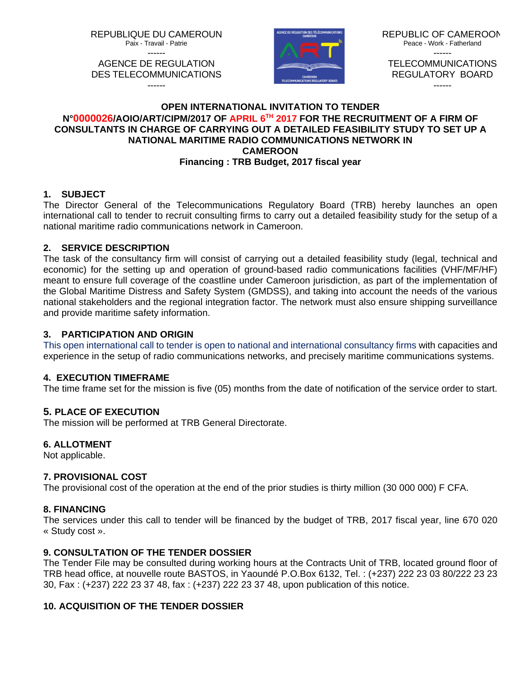REPUBLIQUE DU CAMEROUN

Paix - Travail - Patrie ------



REPUBLIC OF CAMEROON Peace - Work - Fatherland ------ TEL ECOMMUNICATIONS

REGULATORY BOARD ------

#### AGENCE DE REGULATION DES TELECOMMUNICATIONS ------

# **OPEN INTERNATIONAL INVITATION TO TENDER N°0000026/AOIO/ART/CIPM/2017 OF APRIL 6TH 2017 FOR THE RECRUITMENT OF A FIRM OF CONSULTANTS IN CHARGE OF CARRYING OUT A DETAILED FEASIBILITY STUDY TO SET UP A NATIONAL MARITIME RADIO COMMUNICATIONS NETWORK IN CAMEROON Financing : TRB Budget, 2017 fiscal year**

# **1. SUBJECT**

The Director General of the Telecommunications Regulatory Board (TRB) hereby launches an open international call to tender to recruit consulting firms to carry out a detailed feasibility study for the setup of a national maritime radio communications network in Cameroon.

# **2. SERVICE DESCRIPTION**

The task of the consultancy firm will consist of carrying out a detailed feasibility study (legal, technical and economic) for the setting up and operation of ground-based radio communications facilities (VHF/MF/HF) meant to ensure full coverage of the coastline under Cameroon jurisdiction, as part of the implementation of the Global Maritime Distress and Safety System (GMDSS), and taking into account the needs of the various national stakeholders and the regional integration factor. The network must also ensure shipping surveillance and provide maritime safety information.

# **3. PARTICIPATION AND ORIGIN**

This open international call to tender is open to national and international consultancy firms with capacities and experience in the setup of radio communications networks, and precisely maritime communications systems.

# **4. EXECUTION TIMEFRAME**

The time frame set for the mission is five (05) months from the date of notification of the service order to start.

# **5. PLACE OF EXECUTION**

The mission will be performed at TRB General Directorate.

### **6. ALLOTMENT**

Not applicable.

### **7. PROVISIONAL COST**

The provisional cost of the operation at the end of the prior studies is thirty million (30 000 000) F CFA.

### **8. FINANCING**

The services under this call to tender will be financed by the budget of TRB, 2017 fiscal year, line 670 020 « Study cost ».

# **9. CONSULTATION OF THE TENDER DOSSIER**

The Tender File may be consulted during working hours at the Contracts Unit of TRB, located ground floor of TRB head office, at nouvelle route BASTOS, in Yaoundé P.O.Box 6132, Tel. : (+237) 222 23 03 80/222 23 23 30, Fax : (+237) 222 23 37 48, fax : (+237) 222 23 37 48, upon publication of this notice.

# **10. ACQUISITION OF THE TENDER DOSSIER**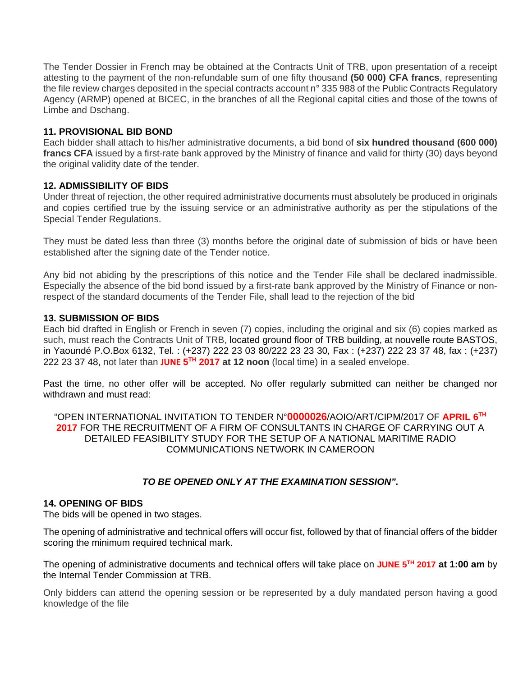The Tender Dossier in French may be obtained at the Contracts Unit of TRB, upon presentation of a receipt attesting to the payment of the non-refundable sum of one fifty thousand **(50 000) CFA francs**, representing the file review charges deposited in the special contracts account n° 335 988 of the Public Contracts Regulatory Agency (ARMP) opened at BICEC, in the branches of all the Regional capital cities and those of the towns of Limbe and Dschang.

#### **11. PROVISIONAL BID BOND**

Each bidder shall attach to his/her administrative documents, a bid bond of **six hundred thousand (600 000) francs CFA** issued by a first-rate bank approved by the Ministry of finance and valid for thirty (30) days beyond the original validity date of the tender.

#### **12. ADMISSIBILITY OF BIDS**

Under threat of rejection, the other required administrative documents must absolutely be produced in originals and copies certified true by the issuing service or an administrative authority as per the stipulations of the Special Tender Regulations.

They must be dated less than three (3) months before the original date of submission of bids or have been established after the signing date of the Tender notice.

Any bid not abiding by the prescriptions of this notice and the Tender File shall be declared inadmissible. Especially the absence of the bid bond issued by a first-rate bank approved by the Ministry of Finance or nonrespect of the standard documents of the Tender File, shall lead to the rejection of the bid

#### **13. SUBMISSION OF BIDS**

Each bid drafted in English or French in seven (7) copies, including the original and six (6) copies marked as such, must reach the Contracts Unit of TRB, located ground floor of TRB building, at nouvelle route BASTOS, in Yaoundé P.O.Box 6132, Tel. : (+237) 222 23 03 80/222 23 23 30, Fax : (+237) 222 23 37 48, fax : (+237) 222 23 37 48, not later than **JUNE 5TH 2017 at 12 noon** (local time) in a sealed envelope.

Past the time, no other offer will be accepted. No offer regularly submitted can neither be changed nor withdrawn and must read:

"OPEN INTERNATIONAL INVITATION TO TENDER N°**0000026**/AOIO/ART/CIPM/2017 OF **APRIL 6TH 2017** FOR THE RECRUITMENT OF A FIRM OF CONSULTANTS IN CHARGE OF CARRYING OUT A DETAILED FEASIBILITY STUDY FOR THE SETUP OF A NATIONAL MARITIME RADIO COMMUNICATIONS NETWORK IN CAMEROON

### *TO BE OPENED ONLY AT THE EXAMINATION SESSION".*

#### **14. OPENING OF BIDS**

The bids will be opened in two stages.

The opening of administrative and technical offers will occur fist, followed by that of financial offers of the bidder scoring the minimum required technical mark.

The opening of administrative documents and technical offers will take place on **JUNE 5TH 2017 at 1:00 am** by the Internal Tender Commission at TRB.

Only bidders can attend the opening session or be represented by a duly mandated person having a good knowledge of the file